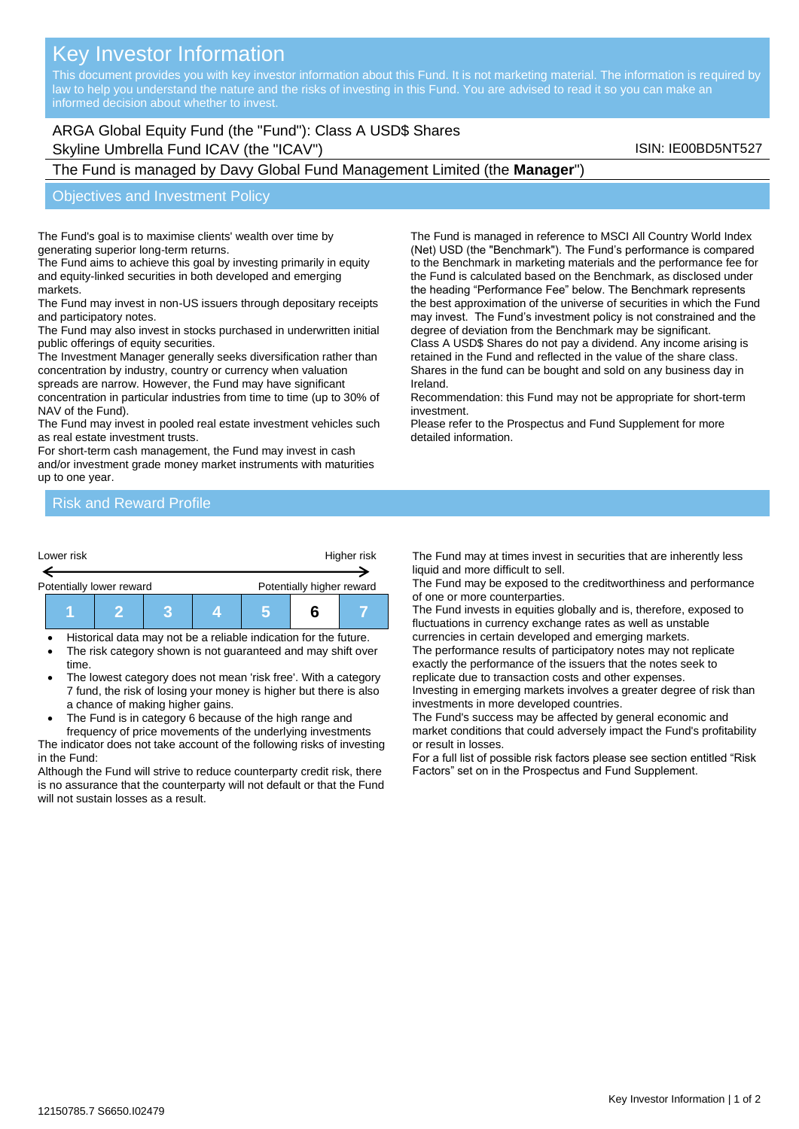# Key Investor Information

This document provides you with key investor information about this Fund. It is not marketing material. The information is required by law to help you understand the nature and the risks of investing in this Fund. You are advised to read it so you can make an

# ARGA Global Equity Fund (the "Fund"): Class A USD\$ Shares Skyline Umbrella Fund ICAV (the "ICAV") Skyline Umbrella Fund ICAV (the "ICAV") Skyline Umbrella Fund ICAV (the  $\sim$

# The Fund is managed by Davy Global Fund Management Limited (the **Manager**")

#### Objectives and Investment Policy

The Fund's goal is to maximise clients' wealth over time by generating superior long-term returns.

The Fund aims to achieve this goal by investing primarily in equity and equity-linked securities in both developed and emerging markets.

The Fund may invest in non-US issuers through depositary receipts and participatory notes.

The Fund may also invest in stocks purchased in underwritten initial public offerings of equity securities.

The Investment Manager generally seeks diversification rather than concentration by industry, country or currency when valuation spreads are narrow. However, the Fund may have significant

concentration in particular industries from time to time (up to 30% of NAV of the Fund).

The Fund may invest in pooled real estate investment vehicles such as real estate investment trusts.

For short-term cash management, the Fund may invest in cash and/or investment grade money market instruments with maturities up to one year.

The Fund is managed in reference to MSCI All Country World Index (Net) USD (the "Benchmark"). The Fund's performance is compared to the Benchmark in marketing materials and the performance fee for the Fund is calculated based on the Benchmark, as disclosed under the heading "Performance Fee" below. The Benchmark represents the best approximation of the universe of securities in which the Fund may invest. The Fund's investment policy is not constrained and the degree of deviation from the Benchmark may be significant.

Class A USD\$ Shares do not pay a dividend. Any income arising is retained in the Fund and reflected in the value of the share class. Shares in the fund can be bought and sold on any business day in Ireland.

Recommendation: this Fund may not be appropriate for short-term investment.

Please refer to the Prospectus and Fund Supplement for more detailed information.

## Risk and Reward Profile

| Lower risk               |  |  | Higher risk |  |                           |  |  |
|--------------------------|--|--|-------------|--|---------------------------|--|--|
| Potentially lower reward |  |  |             |  | Potentially higher reward |  |  |
|                          |  |  |             |  |                           |  |  |

• Historical data may not be a reliable indication for the future.

- The risk category shown is not guaranteed and may shift over time.
- The lowest category does not mean 'risk free'. With a category 7 fund, the risk of losing your money is higher but there is also a chance of making higher gains.
- The Fund is in category 6 because of the high range and

frequency of price movements of the underlying investments The indicator does not take account of the following risks of investing in the Fund:

Although the Fund will strive to reduce counterparty credit risk, there is no assurance that the counterparty will not default or that the Fund will not sustain losses as a result.

The Fund may at times invest in securities that are inherently less liquid and more difficult to sell.

The Fund may be exposed to the creditworthiness and performance of one or more counterparties.

The Fund invests in equities globally and is, therefore, exposed to fluctuations in currency exchange rates as well as unstable currencies in certain developed and emerging markets.

The performance results of participatory notes may not replicate exactly the performance of the issuers that the notes seek to replicate due to transaction costs and other expenses.

Investing in emerging markets involves a greater degree of risk than investments in more developed countries.

The Fund's success may be affected by general economic and market conditions that could adversely impact the Fund's profitability or result in losses.

For a full list of possible risk factors please see section entitled "Risk Factors" set on in the Prospectus and Fund Supplement.